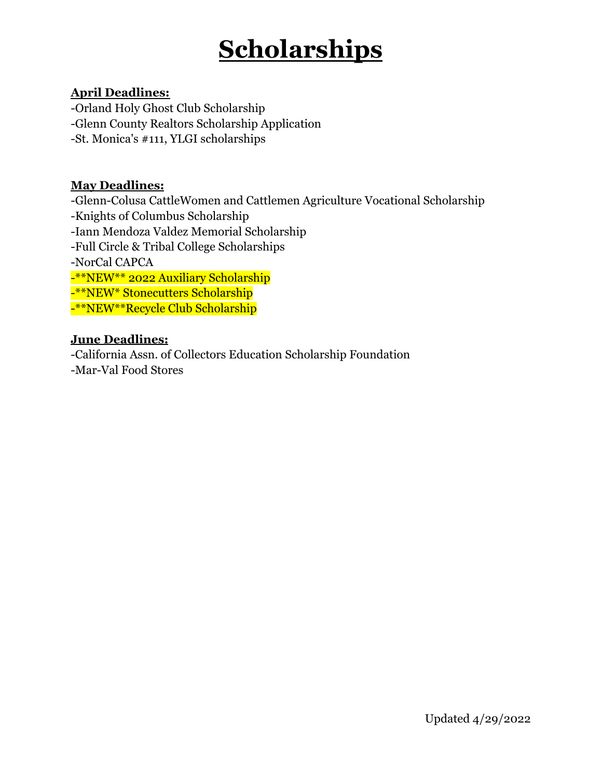#### **April Deadlines:**

-Orland Holy Ghost Club Scholarship -Glenn County Realtors Scholarship Application -St. Monica's #111, YLGI scholarships

#### **May Deadlines:**

-Glenn-Colusa CattleWomen and Cattlemen Agriculture Vocational Scholarship -Knights of Columbus Scholarship -Iann Mendoza Valdez Memorial Scholarship -Full Circle & Tribal College Scholarships -NorCal CAPCA -\*\*NEW\*\* 2022 Auxiliary Scholarship -\*\*NEW\* Stonecutters Scholarship -\*\*NEW\*\*Recycle Club Scholarship

#### **June Deadlines:**

-California Assn. of Collectors Education Scholarship Foundation -Mar-Val Food Stores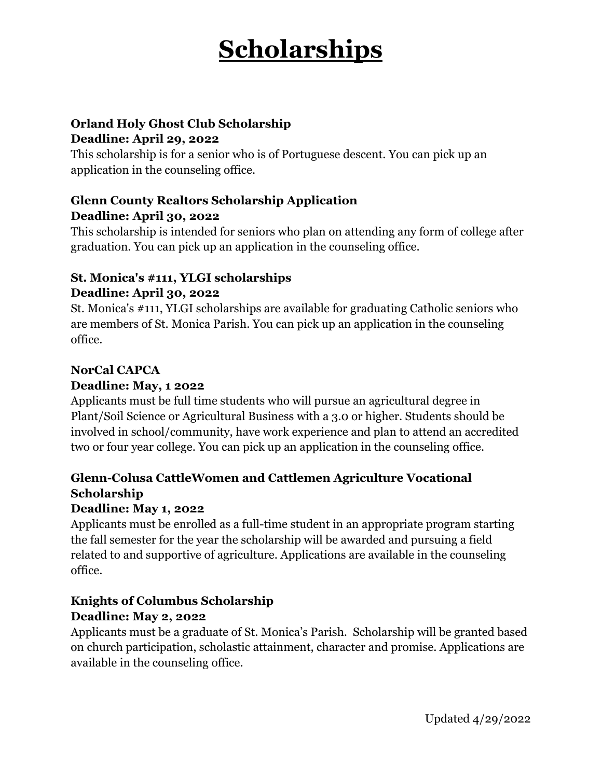#### **Orland Holy Ghost Club Scholarship Deadline: April 29, 2022**

This scholarship is for a senior who is of Portuguese descent. You can pick up an application in the counseling office.

## **Glenn County Realtors Scholarship Application Deadline: April 30, 2022**

This scholarship is intended for seniors who plan on attending any form of college after graduation. You can pick up an application in the counseling office.

## **St. Monica's #111, YLGI scholarships Deadline: April 30, 2022**

St. Monica's #111, YLGI scholarships are available for graduating Catholic seniors who are members of St. Monica Parish. You can pick up an application in the counseling office.

## **NorCal CAPCA**

### **Deadline: May, 1 2022**

Applicants must be full time students who will pursue an agricultural degree in Plant/Soil Science or Agricultural Business with a 3.0 or higher. Students should be involved in school/community, have work experience and plan to attend an accredited two or four year college. You can pick up an application in the counseling office.

## **Glenn-Colusa CattleWomen and Cattlemen Agriculture Vocational Scholarship**

## **Deadline: May 1, 2022**

Applicants must be enrolled as a full-time student in an appropriate program starting the fall semester for the year the scholarship will be awarded and pursuing a field related to and supportive of agriculture. Applications are available in the counseling office.

### **Knights of Columbus Scholarship Deadline: May 2, 2022**

Applicants must be a graduate of St. Monica's Parish. Scholarship will be granted based on church participation, scholastic attainment, character and promise. Applications are available in the counseling office.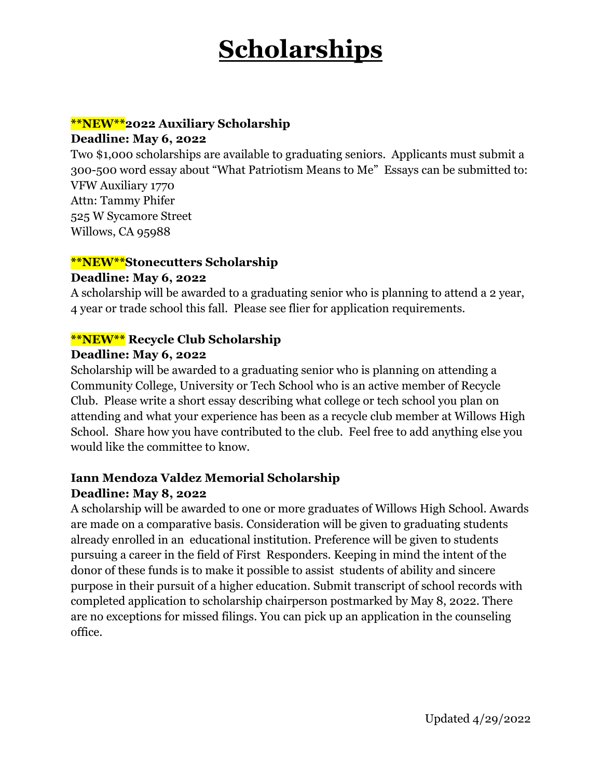## **\*\*NEW\*\*2022 Auxiliary Scholarship**

#### **Deadline: May 6, 2022**

Two \$1,000 scholarships are available to graduating seniors. Applicants must submit a 300-500 word essay about "What Patriotism Means to Me" Essays can be submitted to: VFW Auxiliary 1770 Attn: Tammy Phifer 525 W Sycamore Street Willows, CA 95988

#### **\*\*NEW\*\*Stonecutters Scholarship**

#### **Deadline: May 6, 2022**

A scholarship will be awarded to a graduating senior who is planning to attend a 2 year, 4 year or trade school this fall. Please see flier for application requirements.

#### **\*\*NEW\*\* Recycle Club Scholarship**

#### **Deadline: May 6, 2022**

Scholarship will be awarded to a graduating senior who is planning on attending a Community College, University or Tech School who is an active member of Recycle Club. Please write a short essay describing what college or tech school you plan on attending and what your experience has been as a recycle club member at Willows High School. Share how you have contributed to the club. Feel free to add anything else you would like the committee to know.

### **Iann Mendoza Valdez Memorial Scholarship Deadline: May 8, 2022**

A scholarship will be awarded to one or more graduates of Willows High School. Awards are made on a comparative basis. Consideration will be given to graduating students already enrolled in an educational institution. Preference will be given to students pursuing a career in the field of First Responders. Keeping in mind the intent of the donor of these funds is to make it possible to assist students of ability and sincere purpose in their pursuit of a higher education. Submit transcript of school records with completed application to scholarship chairperson postmarked by May 8, 2022. There are no exceptions for missed filings. You can pick up an application in the counseling office.

Updated 4/29/2022